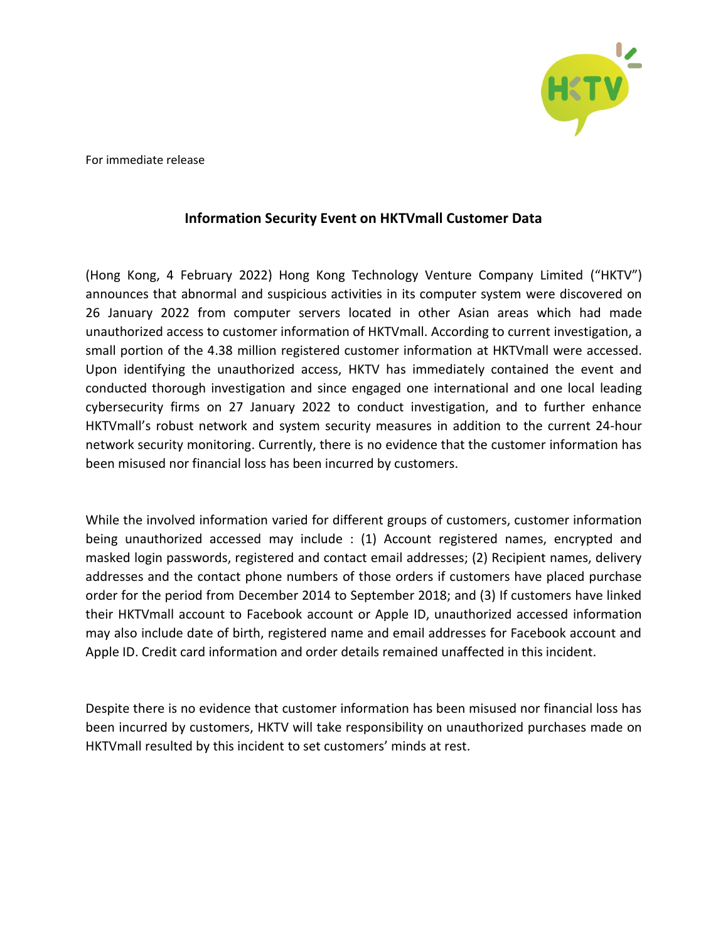

For immediate release

## **Information Security Event on HKTVmall Customer Data**

(Hong Kong, 4 February 2022) Hong Kong Technology Venture Company Limited ("HKTV") announces that abnormal and suspicious activities in its computer system were discovered on 26 January 2022 from computer servers located in other Asian areas which had made unauthorized access to customer information of HKTVmall. According to current investigation, a small portion of the 4.38 million registered customer information at HKTVmall were accessed. Upon identifying the unauthorized access, HKTV has immediately contained the event and conducted thorough investigation and since engaged one international and one local leading cybersecurity firms on 27 January 2022 to conduct investigation, and to further enhance HKTVmall's robust network and system security measures in addition to the current 24-hour network security monitoring. Currently, there is no evidence that the customer information has been misused nor financial loss has been incurred by customers.

While the involved information varied for different groups of customers, customer information being unauthorized accessed may include : (1) Account registered names, encrypted and masked login passwords, registered and contact email addresses; (2) Recipient names, delivery addresses and the contact phone numbers of those orders if customers have placed purchase order for the period from December 2014 to September 2018; and (3) If customers have linked their HKTVmall account to Facebook account or Apple ID, unauthorized accessed information may also include date of birth, registered name and email addresses for Facebook account and Apple ID. Credit card information and order details remained unaffected in this incident.

Despite there is no evidence that customer information has been misused nor financial loss has been incurred by customers, HKTV will take responsibility on unauthorized purchases made on HKTVmall resulted by this incident to set customers' minds at rest.